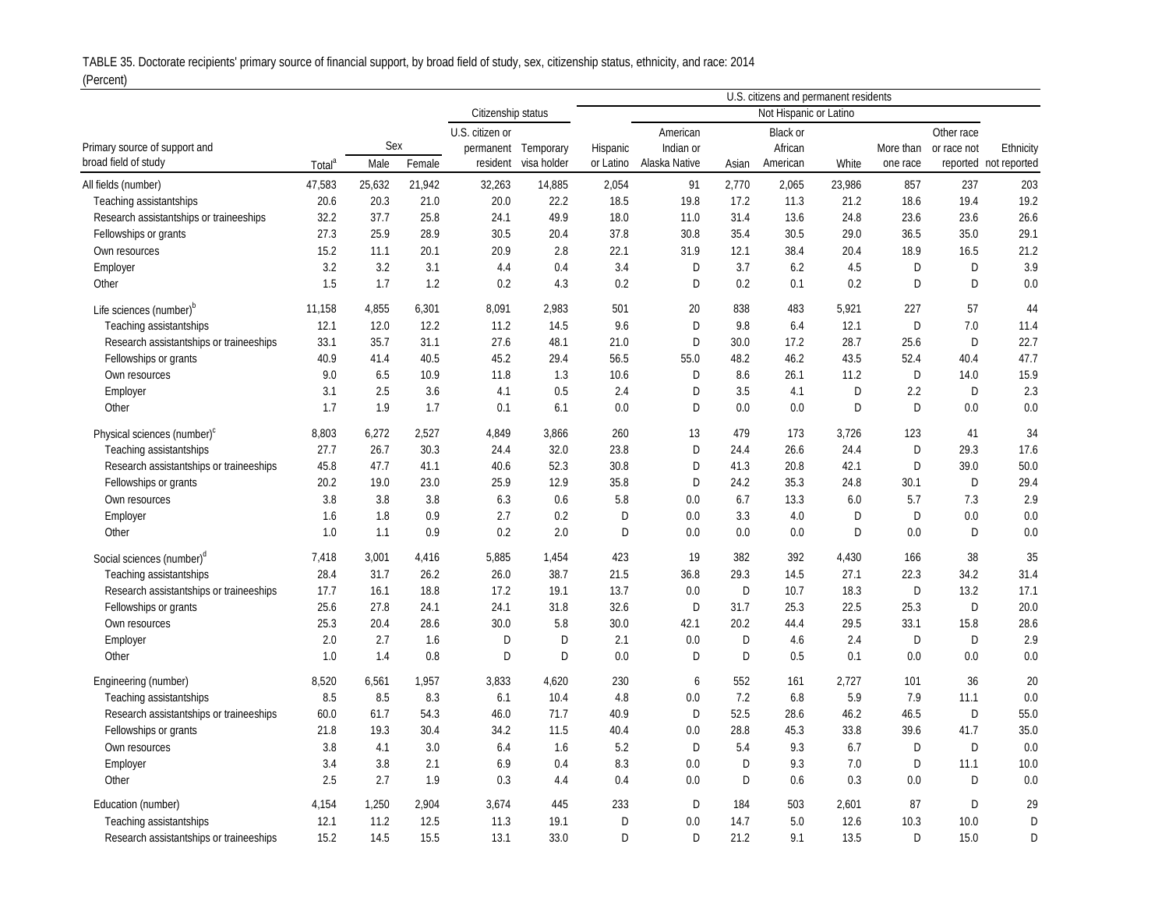TABLE 35. Doctorate recipients' primary source of financial support, by broad field of study, sex, citizenship status, ethnicity, and race: 2014

## (Percent)

|                                         | U.S. citizens and permanent residents |        |        |                    |                     |           |               |       |          |        |           |             |                       |
|-----------------------------------------|---------------------------------------|--------|--------|--------------------|---------------------|-----------|---------------|-------|----------|--------|-----------|-------------|-----------------------|
|                                         |                                       |        |        | Citizenship status |                     |           |               |       |          |        |           |             |                       |
|                                         |                                       |        |        | U.S. citizen or    |                     |           | American      |       | Black or |        |           | Other race  |                       |
| Primary source of support and           |                                       | Sex    |        |                    | permanent Temporary | Hispanic  | Indian or     |       | African  |        | More than | or race not | Ethnicity             |
| broad field of study                    | Total <sup>ª</sup>                    | Male   | Female | resident           | visa holder         | or Latino | Alaska Native | Asian | American | White  | one race  |             | reported not reported |
| All fields (number)                     | 47,583                                | 25,632 | 21,942 | 32,263             | 14,885              | 2,054     | 91            | 2,770 | 2,065    | 23,986 | 857       | 237         | 203                   |
| Teaching assistantships                 | 20.6                                  | 20.3   | 21.0   | 20.0               | 22.2                | 18.5      | 19.8          | 17.2  | 11.3     | 21.2   | 18.6      | 19.4        | 19.2                  |
| Research assistantships or traineeships | 32.2                                  | 37.7   | 25.8   | 24.1               | 49.9                | 18.0      | 11.0          | 31.4  | 13.6     | 24.8   | 23.6      | 23.6        | 26.6                  |
| Fellowships or grants                   | 27.3                                  | 25.9   | 28.9   | 30.5               | 20.4                | 37.8      | 30.8          | 35.4  | 30.5     | 29.0   | 36.5      | 35.0        | 29.1                  |
| Own resources                           | 15.2                                  | 11.1   | 20.1   | 20.9               | 2.8                 | 22.1      | 31.9          | 12.1  | 38.4     | 20.4   | 18.9      | 16.5        | 21.2                  |
| Employer                                | 3.2                                   | 3.2    | 3.1    | 4.4                | 0.4                 | 3.4       | D             | 3.7   | 6.2      | 4.5    | D         | D           | 3.9                   |
| Other                                   | 1.5                                   | 1.7    | 1.2    | 0.2                | 4.3                 | 0.2       | D             | 0.2   | 0.1      | 0.2    | D         | D           | 0.0                   |
| Life sciences (number) <sup>b</sup>     | 11,158                                | 4,855  | 6,301  | 8,091              | 2,983               | 501       | 20            | 838   | 483      | 5,921  | 227       | 57          | 44                    |
| Teaching assistantships                 | 12.1                                  | 12.0   | 12.2   | 11.2               | 14.5                | 9.6       | D             | 9.8   | 6.4      | 12.1   | D         | 7.0         | 11.4                  |
| Research assistantships or traineeships | 33.1                                  | 35.7   | 31.1   | 27.6               | 48.1                | 21.0      | D             | 30.0  | 17.2     | 28.7   | 25.6      | D           | 22.7                  |
| Fellowships or grants                   | 40.9                                  | 41.4   | 40.5   | 45.2               | 29.4                | 56.5      | 55.0          | 48.2  | 46.2     | 43.5   | 52.4      | 40.4        | 47.7                  |
| Own resources                           | 9.0                                   | 6.5    | 10.9   | 11.8               | 1.3                 | 10.6      | D             | 8.6   | 26.1     | 11.2   | D         | 14.0        | 15.9                  |
| Employer                                | 3.1                                   | 2.5    | 3.6    | 4.1                | 0.5                 | 2.4       | D             | 3.5   | 4.1      | D      | 2.2       | D           | 2.3                   |
| Other                                   | 1.7                                   | 1.9    | 1.7    | 0.1                | 6.1                 | 0.0       | D             | 0.0   | 0.0      | D      | D         | 0.0         | 0.0                   |
| Physical sciences (number) <sup>c</sup> | 8,803                                 | 6,272  | 2,527  | 4,849              | 3,866               | 260       | 13            | 479   | 173      | 3,726  | 123       | 41          | 34                    |
| Teaching assistantships                 | 27.7                                  | 26.7   | 30.3   | 24.4               | 32.0                | 23.8      | D             | 24.4  | 26.6     | 24.4   | D         | 29.3        | 17.6                  |
| Research assistantships or traineeships | 45.8                                  | 47.7   | 41.1   | 40.6               | 52.3                | 30.8      | D             | 41.3  | 20.8     | 42.1   | D         | 39.0        | 50.0                  |
| Fellowships or grants                   | 20.2                                  | 19.0   | 23.0   | 25.9               | 12.9                | 35.8      | D             | 24.2  | 35.3     | 24.8   | 30.1      | D           | 29.4                  |
| Own resources                           | 3.8                                   | 3.8    | 3.8    | 6.3                | 0.6                 | 5.8       | 0.0           | 6.7   | 13.3     | 6.0    | 5.7       | 7.3         | 2.9                   |
| Employer                                | 1.6                                   | 1.8    | 0.9    | 2.7                | 0.2                 | D         | 0.0           | 3.3   | 4.0      | D      | D         | 0.0         | 0.0                   |
| Other                                   | 1.0                                   | 1.1    | 0.9    | 0.2                | 2.0                 | D         | 0.0           | 0.0   | 0.0      | D      | 0.0       | D           | 0.0                   |
|                                         |                                       |        |        |                    |                     |           |               |       |          |        |           |             |                       |
| Social sciences (number) <sup>a</sup>   | 7,418                                 | 3,001  | 4,416  | 5,885              | 1,454               | 423       | 19            | 382   | 392      | 4,430  | 166       | 38          | 35                    |
| Teaching assistantships                 | 28.4                                  | 31.7   | 26.2   | 26.0               | 38.7                | 21.5      | 36.8          | 29.3  | 14.5     | 27.1   | 22.3      | 34.2        | 31.4                  |
| Research assistantships or traineeships | 17.7                                  | 16.1   | 18.8   | 17.2               | 19.1                | 13.7      | 0.0           | D     | 10.7     | 18.3   | D         | 13.2        | 17.1                  |
| Fellowships or grants                   | 25.6                                  | 27.8   | 24.1   | 24.1               | 31.8                | 32.6      | D             | 31.7  | 25.3     | 22.5   | 25.3      | D           | 20.0                  |
| Own resources                           | 25.3                                  | 20.4   | 28.6   | 30.0               | 5.8                 | 30.0      | 42.1          | 20.2  | 44.4     | 29.5   | 33.1      | 15.8        | 28.6                  |
| Employer                                | 2.0                                   | 2.7    | 1.6    | D                  | D                   | 2.1       | 0.0           | D     | 4.6      | 2.4    | D         | D           | 2.9                   |
| Other                                   | 1.0                                   | 1.4    | 0.8    | D                  | D                   | 0.0       | D             | D     | 0.5      | 0.1    | 0.0       | 0.0         | 0.0                   |
| Engineering (number)                    | 8,520                                 | 6,561  | 1,957  | 3,833              | 4,620               | 230       | 6             | 552   | 161      | 2,727  | 101       | 36          | 20                    |
| Teaching assistantships                 | 8.5                                   | 8.5    | 8.3    | 6.1                | 10.4                | 4.8       | 0.0           | 7.2   | 6.8      | 5.9    | 7.9       | 11.1        | 0.0                   |
| Research assistantships or traineeships | 60.0                                  | 61.7   | 54.3   | 46.0               | 71.7                | 40.9      | D             | 52.5  | 28.6     | 46.2   | 46.5      | D           | 55.0                  |
| Fellowships or grants                   | 21.8                                  | 19.3   | 30.4   | 34.2               | 11.5                | 40.4      | 0.0           | 28.8  | 45.3     | 33.8   | 39.6      | 41.7        | 35.0                  |
| Own resources                           | 3.8                                   | 4.1    | 3.0    | 6.4                | 1.6                 | 5.2       | D             | 5.4   | 9.3      | 6.7    | D         | D           | 0.0                   |
| Employer                                | 3.4                                   | 3.8    | 2.1    | 6.9                | 0.4                 | 8.3       | 0.0           | D     | 9.3      | 7.0    | D         | 11.1        | 10.0                  |
| Other                                   | 2.5                                   | 2.7    | 1.9    | 0.3                | 4.4                 | 0.4       | 0.0           | D     | 0.6      | 0.3    | 0.0       | D           | 0.0                   |
| Education (number)                      | 4,154                                 | 1,250  | 2,904  | 3,674              | 445                 | 233       | D             | 184   | 503      | 2,601  | 87        | D           | 29                    |
| Teaching assistantships                 | 12.1                                  | 11.2   | 12.5   | 11.3               | 19.1                | D         | 0.0           | 14.7  | 5.0      | 12.6   | 10.3      | 10.0        | D                     |
| Research assistantships or traineeships | 15.2                                  | 14.5   | 15.5   | 13.1               | 33.0                | D         | $\Gamma$      | 21.2  | 9.1      | 13.5   | D         | 15.0        | D                     |